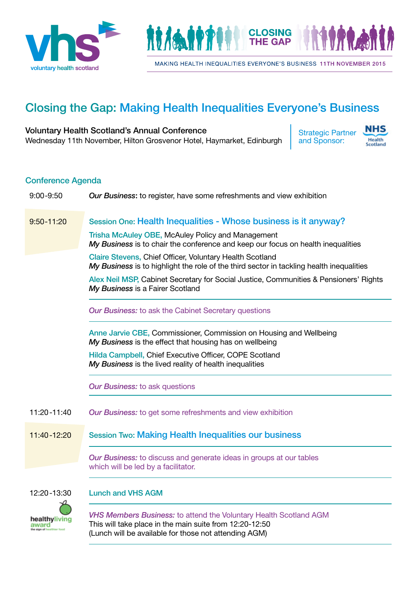



MAKING HEALTH INEQUALITIES EVERYONE'S BUSINESS 11TH NOVEMBER 2015

# Closing the Gap: Making Health Inequalities Everyone's Business

### Voluntary Health Scotland's Annual Conference Wednesday 11th November, Hilton Grosvenor Hotel, Haymarket, Edinburgh

Strategic Partner and Sponsor:



### Conference Agenda

| $9:00 - 9:50$          | <b>Our Business:</b> to register, have some refreshments and view exhibition                                                                                                                 |
|------------------------|----------------------------------------------------------------------------------------------------------------------------------------------------------------------------------------------|
| $9:50 - 11:20$         | Session One: Health Inequalities - Whose business is it anyway?                                                                                                                              |
|                        | Trisha McAuley OBE, McAuley Policy and Management<br>My Business is to chair the conference and keep our focus on health inequalities                                                        |
|                        | Claire Stevens, Chief Officer, Voluntary Health Scotland<br>My Business is to highlight the role of the third sector in tackling health inequalities                                         |
|                        | Alex Neil MSP, Cabinet Secretary for Social Justice, Communities & Pensioners' Rights<br>My Business is a Fairer Scotland                                                                    |
|                        | <b>Our Business:</b> to ask the Cabinet Secretary questions                                                                                                                                  |
|                        | Anne Jarvie CBE, Commissioner, Commission on Housing and Wellbeing<br>My Business is the effect that housing has on wellbeing                                                                |
|                        | Hilda Campbell, Chief Executive Officer, COPE Scotland<br>My Business is the lived reality of health inequalities                                                                            |
|                        | <b>Our Business: to ask questions</b>                                                                                                                                                        |
| $11:20 - 11:40$        | <b>Our Business:</b> to get some refreshments and view exhibition                                                                                                                            |
| 11:40-12:20            | <b>Session Two: Making Health Inequalities our business</b>                                                                                                                                  |
|                        | Our Business: to discuss and generate ideas in groups at our tables<br>which will be led by a facilitator.                                                                                   |
| 12:20-13:30            | <b>Lunch and VHS AGM</b>                                                                                                                                                                     |
| healthyliving<br>award | <b>VHS Members Business:</b> to attend the Voluntary Health Scotland AGM<br>This will take place in the main suite from 12:20-12:50<br>(Lunch will be available for those not attending AGM) |